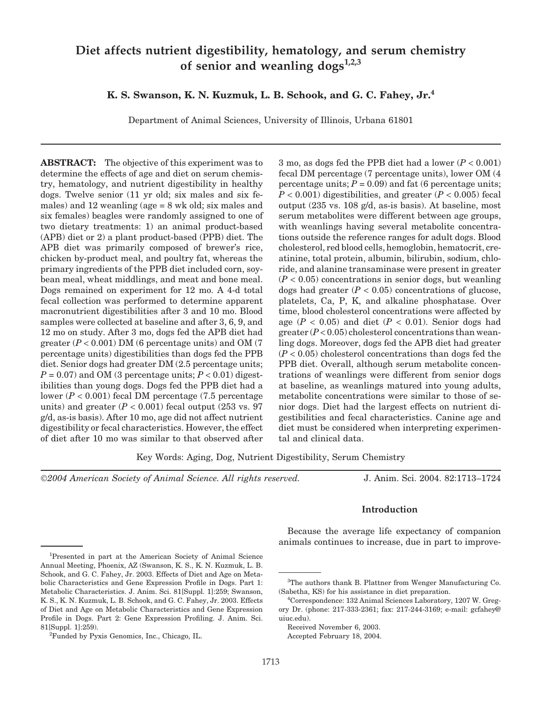# **Diet affects nutrient digestibility, hematology, and serum chemistry of senior and weanling dogs1,2,3**

**K. S. Swanson, K. N. Kuzmuk, L. B. Schook, and G. C. Fahey, Jr.4**

Department of Animal Sciences, University of Illinois, Urbana 61801

**ABSTRACT:** The objective of this experiment was to determine the effects of age and diet on serum chemistry, hematology, and nutrient digestibility in healthy dogs. Twelve senior (11 yr old; six males and six females) and 12 weanling (age = 8 wk old; six males and six females) beagles were randomly assigned to one of two dietary treatments: 1) an animal product-based (APB) diet or 2) a plant product-based (PPB) diet. The APB diet was primarily composed of brewer's rice, chicken by-product meal, and poultry fat, whereas the primary ingredients of the PPB diet included corn, soybean meal, wheat middlings, and meat and bone meal. Dogs remained on experiment for 12 mo. A 4-d total fecal collection was performed to determine apparent macronutrient digestibilities after 3 and 10 mo. Blood samples were collected at baseline and after 3, 6, 9, and 12 mo on study. After 3 mo, dogs fed the APB diet had greater  $(P < 0.001)$  DM (6 percentage units) and OM (7) percentage units) digestibilities than dogs fed the PPB diet. Senior dogs had greater DM (2.5 percentage units;  $P = 0.07$  and OM (3 percentage units;  $P < 0.01$ ) digestibilities than young dogs. Dogs fed the PPB diet had a lower  $(P < 0.001)$  fecal DM percentage  $(7.5$  percentage units) and greater  $(P < 0.001)$  fecal output  $(253 \text{ vs. } 97)$ g/d, as-is basis). After 10 mo, age did not affect nutrient digestibility or fecal characteristics. However, the effect of diet after 10 mo was similar to that observed after 3 mo, as dogs fed the PPB diet had a lower (*P* < 0.001) fecal DM percentage (7 percentage units), lower OM (4 percentage units;  $P = 0.09$  and fat (6 percentage units; *P* < 0.001) digestibilities, and greater (*P* < 0.005) fecal output (235 vs. 108 g/d, as-is basis). At baseline, most serum metabolites were different between age groups, with weanlings having several metabolite concentrations outside the reference ranges for adult dogs. Blood cholesterol, red blood cells, hemoglobin, hematocrit, creatinine, total protein, albumin, bilirubin, sodium, chloride, and alanine transaminase were present in greater  $(P < 0.05)$  concentrations in senior dogs, but weanling dogs had greater  $(P < 0.05)$  concentrations of glucose, platelets, Ca, P, K, and alkaline phosphatase. Over time, blood cholesterol concentrations were affected by age  $(P < 0.05)$  and diet  $(P < 0.01)$ . Senior dogs had greater  $(P<0.05)$  cholesterol concentrations than weanling dogs. Moreover, dogs fed the APB diet had greater (*P* < 0.05) cholesterol concentrations than dogs fed the PPB diet. Overall, although serum metabolite concentrations of weanlings were different from senior dogs at baseline, as weanlings matured into young adults, metabolite concentrations were similar to those of senior dogs. Diet had the largest effects on nutrient digestibilities and fecal characteristics. Canine age and diet must be considered when interpreting experimental and clinical data.

Key Words: Aging, Dog, Nutrient Digestibility, Serum Chemistry

*2004 American Society of Animal Science. All rights reserved.* J. Anim. Sci. 2004. 82:1713–1724

#### **Introduction**

Because the average life expectancy of companion animals continues to increase, due in part to improve-

<sup>&</sup>lt;sup>1</sup>Presented in part at the American Society of Animal Science Annual Meeting, Phoenix, AZ (Swanson, K. S., K. N. Kuzmuk, L. B. Schook, and G. C. Fahey, Jr. 2003. Effects of Diet and Age on Metabolic Characteristics and Gene Expression Profile in Dogs. Part 1: Metabolic Characteristics. J. Anim. Sci. 81[Suppl. 1]:259; Swanson, K. S., K. N. Kuzmuk, L. B. Schook, and G. C. Fahey, Jr. 2003. Effects of Diet and Age on Metabolic Characteristics and Gene Expression Profile in Dogs. Part 2: Gene Expression Profiling. J. Anim. Sci. 81[Suppl. 1]:259).

<sup>2</sup> Funded by Pyxis Genomics, Inc., Chicago, IL.

<sup>&</sup>lt;sup>3</sup>The authors thank B. Plattner from Wenger Manufacturing Co. (Sabetha, KS) for his assistance in diet preparation.

<sup>4</sup> Correspondence: 132 Animal Sciences Laboratory, 1207 W. Gregory Dr. (phone: 217-333-2361; fax: 217-244-3169; e-mail: gcfahey@ uiuc.edu).

Received November 6, 2003.

Accepted February 18, 2004.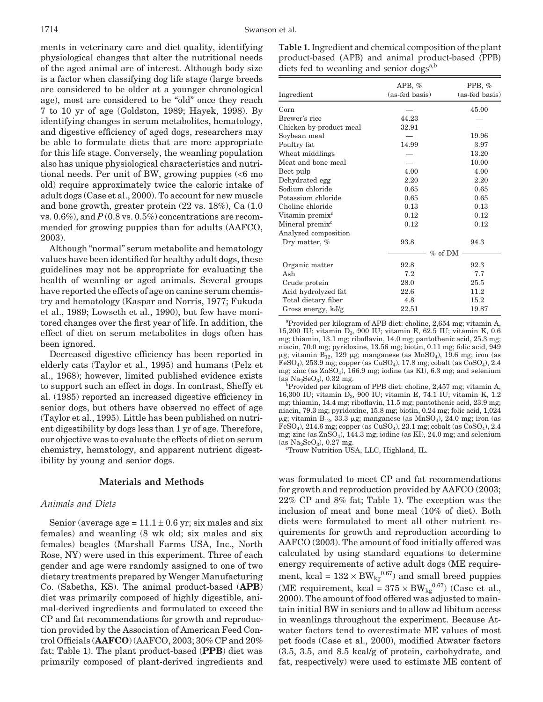ments in veterinary care and diet quality, identifying physiological changes that alter the nutritional needs of the aged animal are of interest. Although body size is a factor when classifying dog life stage (large breeds are considered to be older at a younger chronological age), most are considered to be "old" once they reach 7 to 10 yr of age (Goldston, 1989; Hayek, 1998). By identifying changes in serum metabolites, hematology, and digestive efficiency of aged dogs, researchers may be able to formulate diets that are more appropriate for this life stage. Conversely, the weanling population also has unique physiological characteristics and nutritional needs. Per unit of BW, growing puppies (<6 mo old) require approximately twice the caloric intake of adult dogs (Case et al., 2000). To account for new muscle and bone growth, greater protein (22 vs. 18%), Ca (1.0 vs.  $0.6\%$ ), and  $P(0.8 \text{ vs. } 0.5\%)$  concentrations are recommended for growing puppies than for adults (AAFCO, 2003).

Although "normal" serum metabolite and hematology values have been identified for healthy adult dogs, these guidelines may not be appropriate for evaluating the health of weanling or aged animals. Several groups have reported the effects of age on canine serum chemistry and hematology (Kaspar and Norris, 1977; Fukuda et al., 1989; Lowseth et al., 1990), but few have monitored changes over the first year of life. In addition, the effect of diet on serum metabolites in dogs often has been ignored.

Decreased digestive efficiency has been reported in elderly cats (Taylor et al., 1995) and humans (Pelz et al., 1968); however, limited published evidence exists to support such an effect in dogs. In contrast, Sheffy et al. (1985) reported an increased digestive efficiency in senior dogs, but others have observed no effect of age (Taylor et al., 1995). Little has been published on nutrient digestibility by dogs less than 1 yr of age. Therefore, our objective was to evaluate the effects of diet on serum chemistry, hematology, and apparent nutrient digestibility by young and senior dogs.

## **Materials and Methods**

### *Animals and Diets*

Senior (average age =  $11.1 \pm 0.6$  yr; six males and six females) and weanling (8 wk old; six males and six females) beagles (Marshall Farms USA, Inc., North Rose, NY) were used in this experiment. Three of each gender and age were randomly assigned to one of two dietary treatments prepared by Wenger Manufacturing Co. (Sabetha, KS). The animal product-based (**APB**) diet was primarily composed of highly digestible, animal-derived ingredients and formulated to exceed the CP and fat recommendations for growth and reproduction provided by the Association of American Feed Control Officials (**AAFCO**) (AAFCO, 2003; 30% CP and 20% fat; Table 1). The plant product-based (**PPB**) diet was primarily composed of plant-derived ingredients and

**Table 1.** Ingredient and chemical composition of the plant product-based (APB) and animal product-based (PPB) diets fed to weanling and senior dogs $a,b$ 

| Ingredient                  | APB, $%$<br>(as-fed basis) | PPB, $%$<br>(as-fed basis) |
|-----------------------------|----------------------------|----------------------------|
| Corn                        |                            | 45.00                      |
| Brewer's rice               | 44.23                      |                            |
| Chicken by-product meal     | 32.91                      |                            |
| Soybean meal                |                            | 19.96                      |
| Poultry fat                 | 14.99                      | 3.97                       |
| Wheat middlings             |                            | 13.20                      |
| Meat and bone meal          |                            | 10.00                      |
| Beet pulp                   | 4.00                       | 4.00                       |
| Dehydrated egg              | 2.20                       | 2.20                       |
| Sodium chloride             | 0.65                       | 0.65                       |
| Potassium chloride          | 0.65                       | 0.65                       |
| Choline chloride            | 0.13                       | 0.13                       |
| Vitamin premix <sup>c</sup> | 0.12                       | 0.12                       |
| Mineral premix <sup>c</sup> | 0.12                       | 0.12                       |
| Analyzed composition        |                            |                            |
| Dry matter, $%$             | 93.8                       | 94.3                       |
|                             | % of DM                    |                            |
| Organic matter              | 92.8                       | 92.3                       |
| Ash                         | 7.2                        | 7.7                        |
| Crude protein               | 28.0                       | 25.5                       |
| Acid hydrolyzed fat         | 22.6                       | 11.2                       |
| Total dietary fiber         | 4.8                        | 15.2                       |
| Gross energy, kJ/g          | 22.51                      | 19.87                      |

a Provided per kilogram of APB diet: choline, 2,654 mg; vitamin A, 15,200 IU; vitamin D3, 900 IU; vitamin E, 62.5 IU; vitamin K, 0.6 mg; thiamin, 13.1 mg; riboflavin, 14.0 mg; pantothenic acid, 25.3 mg; niacin, 70.0 mg; pyridoxine, 13.56 mg; biotin, 0.11 mg; folic acid, 949  $\mu$ g; vitamin B<sub>12</sub>, 129  $\mu$ g; manganese (as MnSO<sub>4</sub>), 19.6 mg; iron (as  $FeSO<sub>4</sub>$ ), 253.9 mg; copper (as  $CuSO<sub>4</sub>$ ), 17.8 mg; cobalt (as  $CoSO<sub>4</sub>$ ), 2.4 mg; zinc (as  $ZnSO<sub>4</sub>$ ), 166.9 mg; iodine (as KI), 6.3 mg; and selenium  $(as Na<sub>2</sub>SeO<sub>3</sub>)$ , 0.32 mg.

Provided per kilogram of PPB diet: choline, 2,457 mg; vitamin A, 16,300 IU; vitamin D3, 900 IU; vitamin E, 74.1 IU; vitamin K, 1.2 mg; thiamin, 14.4 mg; riboflavin, 11.5 mg; pantothenic acid, 23.9 mg; niacin, 79.3 mg; pyridoxine, 15.8 mg; biotin, 0.24 mg; folic acid, 1,024  $\mu$ g; vitamin B<sub>12</sub>, 33.3  $\mu$ g; manganese (as MnSO<sub>4</sub>), 24.0 mg; iron (as  $FeSO<sub>4</sub>$ ), 214.6 mg; copper (as  $CuSO<sub>4</sub>$ ), 23.1 mg; cobalt (as  $CoSO<sub>4</sub>$ ), 2.4 mg; zinc (as  $ZnSO<sub>4</sub>$ ), 144.3 mg; iodine (as KI), 24.0 mg; and selenium  $(as Na<sub>2</sub>SeO<sub>3</sub>), 0.27 mg.$ 

Trouw Nutrition USA, LLC, Highland, IL.

was formulated to meet CP and fat recommendations for growth and reproduction provided by AAFCO (2003; 22% CP and 8% fat; Table 1). The exception was the inclusion of meat and bone meal (10% of diet). Both diets were formulated to meet all other nutrient requirements for growth and reproduction according to AAFCO (2003). The amount of food initially offered was calculated by using standard equations to determine energy requirements of active adult dogs (ME requirement, kcal =  $132 \times BW_{kg}^{0.67}$  and small breed puppies (ME requirement, kcal =  $375 \times BW_{kg}^{0.67}$ ) (Case et al., 2000). The amount of food offered was adjusted to maintain initial BW in seniors and to allow ad libitum access in weanlings throughout the experiment. Because Atwater factors tend to overestimate ME values of most pet foods (Case et al., 2000), modified Atwater factors (3.5, 3.5, and 8.5 kcal/g of protein, carbohydrate, and fat, respectively) were used to estimate ME content of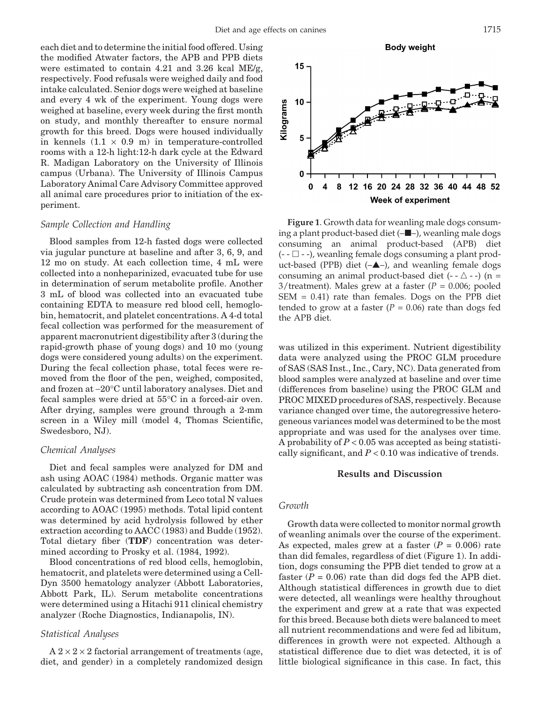each diet and to determine the initial food offered. Using the modified Atwater factors, the APB and PPB diets were estimated to contain 4.21 and 3.26 kcal ME/g, respectively. Food refusals were weighed daily and food intake calculated. Senior dogs were weighed at baseline and every 4 wk of the experiment. Young dogs were weighed at baseline, every week during the first month on study, and monthly thereafter to ensure normal growth for this breed. Dogs were housed individually in kennels  $(1.1 \times 0.9 \text{ m})$  in temperature-controlled rooms with a 12-h light:12-h dark cycle at the Edward R. Madigan Laboratory on the University of Illinois campus (Urbana). The University of Illinois Campus Laboratory Animal Care Advisory Committee approved all animal care procedures prior to initiation of the experiment.

#### *Sample Collection and Handling*

Blood samples from 12-h fasted dogs were collected via jugular puncture at baseline and after 3, 6, 9, and 12 mo on study. At each collection time, 4 mL were collected into a nonheparinized, evacuated tube for use in determination of serum metabolite profile. Another 3 mL of blood was collected into an evacuated tube containing EDTA to measure red blood cell, hemoglobin, hematocrit, and platelet concentrations. A 4-d total fecal collection was performed for the measurement of apparent macronutrient digestibility after 3 (during the rapid-growth phase of young dogs) and 10 mo (young dogs were considered young adults) on the experiment. During the fecal collection phase, total feces were removed from the floor of the pen, weighed, composited, and frozen at −20 C until laboratory analyses. Diet and fecal samples were dried at 55 C in a forced-air oven. After drying, samples were ground through a 2-mm screen in a Wiley mill (model 4, Thomas Scientific, Swedesboro, NJ).

#### *Chemical Analyses*

Diet and fecal samples were analyzed for DM and ash using AOAC (1984) methods. Organic matter was calculated by subtracting ash concentration from DM. Crude protein was determined from Leco total N values according to AOAC (1995) methods. Total lipid content was determined by acid hydrolysis followed by ether extraction according to AACC (1983) and Budde (1952). Total dietary fiber (**TDF**) concentration was determined according to Prosky et al. (1984, 1992).

Blood concentrations of red blood cells, hemoglobin, hematocrit, and platelets were determined using a Cell-Dyn 3500 hematology analyzer (Abbott Laboratories, Abbott Park, IL). Serum metabolite concentrations were determined using a Hitachi 911 clinical chemistry analyzer (Roche Diagnostics, Indianapolis, IN).

### *Statistical Analyses*

 $A$  2 × 2  $\times$  2 factorial arrangement of treatments (age, diet, and gender) in a completely randomized design



**Figure 1**. Growth data for weanling male dogs consuming a plant product-based diet  $(-\blacksquare-)$ , weanling male dogs consuming an animal product-based (APB) diet  $(-1 - 1)$ , weanling female dogs consuming a plant product-based (PPB) diet  $(-\triangle -)$ , and weanling female dogs consuming an animal product-based diet  $(-\Delta - \cdot)$  (n = 3/treatment). Males grew at a faster  $(P = 0.006;$  pooled SEM = 0.41) rate than females. Dogs on the PPB diet tended to grow at a faster  $(P = 0.06)$  rate than dogs fed the APB diet.

was utilized in this experiment. Nutrient digestibility data were analyzed using the PROC GLM procedure of SAS (SAS Inst., Inc., Cary, NC). Data generated from blood samples were analyzed at baseline and over time (differences from baseline) using the PROC GLM and PROC MIXED procedures of SAS, respectively. Because variance changed over time, the autoregressive heterogeneous variances model was determined to be the most appropriate and was used for the analyses over time. A probability of *P* < 0.05 was accepted as being statistically significant, and  $P < 0.10$  was indicative of trends.

## **Results and Discussion**

# *Growth*

Growth data were collected to monitor normal growth of weanling animals over the course of the experiment. As expected, males grew at a faster  $(P = 0.006)$  rate than did females, regardless of diet (Figure 1). In addition, dogs consuming the PPB diet tended to grow at a faster  $(P = 0.06)$  rate than did dogs fed the APB diet. Although statistical differences in growth due to diet were detected, all weanlings were healthy throughout the experiment and grew at a rate that was expected for this breed. Because both diets were balanced to meet all nutrient recommendations and were fed ad libitum, differences in growth were not expected. Although a statistical difference due to diet was detected, it is of little biological significance in this case. In fact, this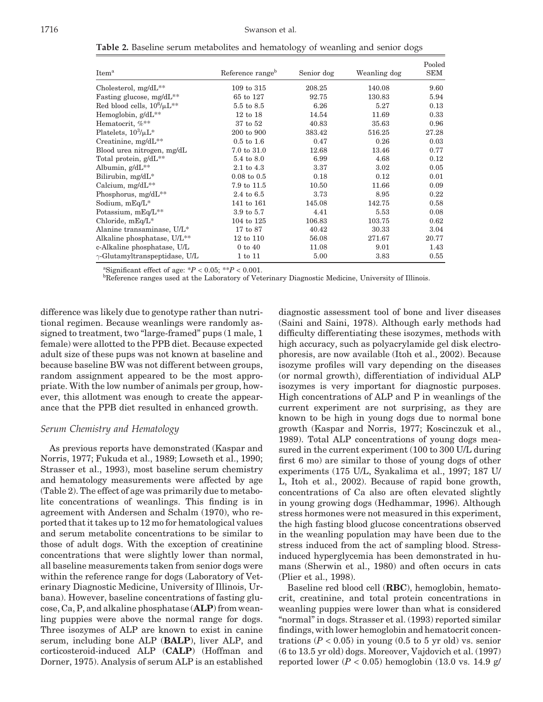**Table 2.** Baseline serum metabolites and hematology of weanling and senior dogs

| Item <sup>a</sup>                       | Reference range <sup>b</sup> | Senior dog | Weanling dog | Pooled<br>${\rm SEM}$ |
|-----------------------------------------|------------------------------|------------|--------------|-----------------------|
| Cholesterol, mg/dL**                    | 109 to 315                   | 208.25     | 140.08       | 9.60                  |
| Fasting glucose, mg/dL**                | 65 to 127                    | 92.75      | 130.83       | 5.94                  |
| Red blood cells, $10^6/\mu L^{***}$     | 5.5 to 8.5                   | 6.26       | 5.27         | 0.13                  |
| Hemoglobin, g/dL**                      | $12$ to $18$                 | 14.54      | 11.69        | 0.33                  |
| Hematocrit, %**                         | 37 to 52                     | 40.83      | 35.63        | 0.96                  |
| Platelets, $10^3/\mu L^*$               | 200 to 900                   | 383.42     | 516.25       | 27.28                 |
| Creatinine, $mg/dL^{**}$                | $0.5 \text{ to } 1.6$        | 0.47       | 0.26         | 0.03                  |
| Blood urea nitrogen, mg/dL              | 7.0 to 31.0                  | 12.68      | 13.46        | 0.77                  |
| Total protein, g/dL <sup>**</sup>       | 5.4 to 8.0                   | 6.99       | 4.68         | 0.12                  |
| Albumin, g/dL**                         | 2.1 to 4.3                   | 3.37       | 3.02         | 0.05                  |
| Bilirubin, mg/dL*                       | $0.08 \text{ to } 0.5$       | 0.18       | 0.12         | 0.01                  |
| Calcium, $mg/dL**$                      | 7.9 to 11.5                  | 10.50      | 11.66        | 0.09                  |
| Phosphorus, mg/dL**                     | 2.4 to 6.5                   | 3.73       | 8.95         | 0.22                  |
| Sodium, mEq/L*                          | 141 to 161                   | 145.08     | 142.75       | 0.58                  |
| Potassium, mEq/L**                      | 3.9 to 5.7                   | 4.41       | 5.53         | 0.08                  |
| Chloride, mEq/L*                        | 104 to 125                   | 106.83     | 103.75       | 0.62                  |
| Alanine transaminase, U/L*              | 17 to 87                     | 40.42      | 30.33        | 3.04                  |
| Alkaline phosphatase, U/L <sup>**</sup> | 12 to 110                    | 56.08      | 271.67       | 20.77                 |
| c-Alkaline phosphatase, U/L             | $0$ to $40$                  | 11.08      | 9.01         | 1.43                  |
| $\gamma$ -Glutamyltranspeptidase, U/L   | 1 to 11                      | 5.00       | 3.83         | 0.55                  |

<sup>a</sup>Significant effect of age:  $P < 0.05$ ;  $*P < 0.001$ .

<sup>b</sup>Reference ranges used at the Laboratory of Veterinary Diagnostic Medicine, University of Illinois.

difference was likely due to genotype rather than nutritional regimen. Because weanlings were randomly assigned to treatment, two "large-framed" pups (1 male, 1 female) were allotted to the PPB diet. Because expected adult size of these pups was not known at baseline and because baseline BW was not different between groups, random assignment appeared to be the most appropriate. With the low number of animals per group, however, this allotment was enough to create the appearance that the PPB diet resulted in enhanced growth.

# *Serum Chemistry and Hematology*

As previous reports have demonstrated (Kaspar and Norris, 1977; Fukuda et al., 1989; Lowseth et al., 1990; Strasser et al., 1993), most baseline serum chemistry and hematology measurements were affected by age (Table 2). The effect of age was primarily due to metabolite concentrations of weanlings. This finding is in agreement with Andersen and Schalm (1970), who reported that it takes up to 12 mo for hematological values and serum metabolite concentrations to be similar to those of adult dogs. With the exception of creatinine concentrations that were slightly lower than normal, all baseline measurements taken from senior dogs were within the reference range for dogs (Laboratory of Veterinary Diagnostic Medicine, University of Illinois, Urbana). However, baseline concentrations of fasting glucose, Ca, P, and alkaline phosphatase (**ALP**) from weanling puppies were above the normal range for dogs. Three isozymes of ALP are known to exist in canine serum, including bone ALP (**BALP**), liver ALP, and corticosteroid-induced ALP (**CALP**) (Hoffman and Dorner, 1975). Analysis of serum ALP is an established

diagnostic assessment tool of bone and liver diseases (Saini and Saini, 1978). Although early methods had difficulty differentiating these isozymes, methods with high accuracy, such as polyacrylamide gel disk electrophoresis, are now available (Itoh et al., 2002). Because isozyme profiles will vary depending on the diseases (or normal growth), differentiation of individual ALP isozymes is very important for diagnostic purposes. High concentrations of ALP and P in weanlings of the current experiment are not surprising, as they are known to be high in young dogs due to normal bone growth (Kaspar and Norris, 1977; Koscinczuk et al., 1989). Total ALP concentrations of young dogs measured in the current experiment (100 to 300 U/L during first 6 mo) are similar to those of young dogs of other experiments (175 U/L, Syakalima et al., 1997; 187 U/ L, Itoh et al., 2002). Because of rapid bone growth, concentrations of Ca also are often elevated slightly in young growing dogs (Hedhammar, 1996). Although stress hormones were not measured in this experiment, the high fasting blood glucose concentrations observed in the weanling population may have been due to the stress induced from the act of sampling blood. Stressinduced hyperglycemia has been demonstrated in humans (Sherwin et al., 1980) and often occurs in cats (Plier et al., 1998).

Baseline red blood cell (**RBC**), hemoglobin, hematocrit, creatinine, and total protein concentrations in weanling puppies were lower than what is considered "normal" in dogs. Strasser et al. (1993) reported similar findings, with lower hemoglobin and hematocrit concentrations  $(P < 0.05)$  in young  $(0.5 \text{ to } 5 \text{ yr old})$  vs. senior (6 to 13.5 yr old) dogs. Moreover, Vajdovich et al. (1997) reported lower  $(P < 0.05)$  hemoglobin  $(13.0 \text{ vs. } 14.9 \text{ g})$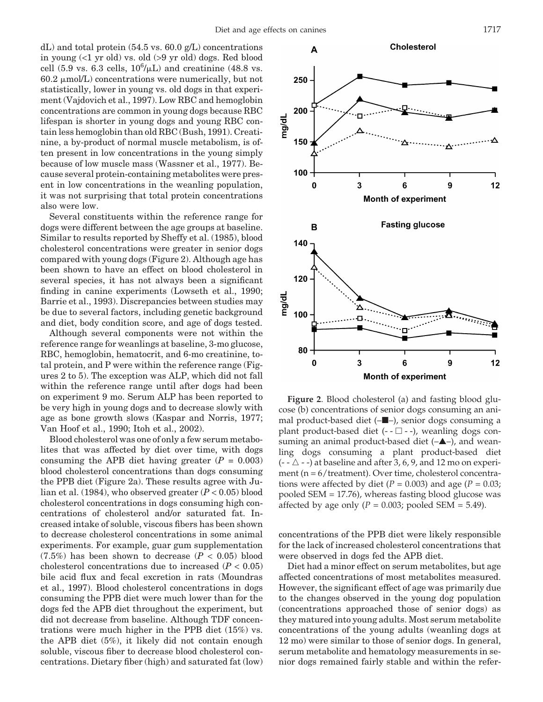dL) and total protein  $(54.5 \text{ vs. } 60.0 \text{ g/L})$  concentrations in young (<1 yr old) vs. old (>9 yr old) dogs. Red blood cell (5.9 vs. 6.3 cells,  $10^6/\mu L$ ) and creatinine (48.8 vs.  $60.2 \mu$  mol/L) concentrations were numerically, but not statistically, lower in young vs. old dogs in that experiment (Vajdovich et al., 1997). Low RBC and hemoglobin concentrations are common in young dogs because RBC lifespan is shorter in young dogs and young RBC contain less hemoglobin than old RBC (Bush, 1991). Creatinine, a by-product of normal muscle metabolism, is often present in low concentrations in the young simply because of low muscle mass (Wassner et al., 1977). Because several protein-containing metabolites were present in low concentrations in the weanling population, it was not surprising that total protein concentrations also were low.

Several constituents within the reference range for dogs were different between the age groups at baseline. Similar to results reported by Sheffy et al. (1985), blood cholesterol concentrations were greater in senior dogs compared with young dogs (Figure 2). Although age has been shown to have an effect on blood cholesterol in several species, it has not always been a significant finding in canine experiments (Lowseth et al., 1990; Barrie et al., 1993). Discrepancies between studies may be due to several factors, including genetic background and diet, body condition score, and age of dogs tested.

Although several components were not within the reference range for weanlings at baseline, 3-mo glucose, RBC, hemoglobin, hematocrit, and 6-mo creatinine, total protein, and P were within the reference range (Figures 2 to 5). The exception was ALP, which did not fall within the reference range until after dogs had been on experiment 9 mo. Serum ALP has been reported to be very high in young dogs and to decrease slowly with age as bone growth slows (Kaspar and Norris, 1977; Van Hoof et al., 1990; Itoh et al., 2002).

Blood cholesterol was one of only a few serum metabolites that was affected by diet over time, with dogs consuming the APB diet having greater  $(P = 0.003)$ blood cholesterol concentrations than dogs consuming the PPB diet (Figure 2a). These results agree with Julian et al. (1984), who observed greater (*P* < 0.05) blood cholesterol concentrations in dogs consuming high concentrations of cholesterol and/or saturated fat. Increased intake of soluble, viscous fibers has been shown to decrease cholesterol concentrations in some animal experiments. For example, guar gum supplementation (7.5%) has been shown to decrease  $(P < 0.05)$  blood cholesterol concentrations due to increased  $(P < 0.05)$ bile acid flux and fecal excretion in rats (Moundras et al., 1997). Blood cholesterol concentrations in dogs consuming the PPB diet were much lower than for the dogs fed the APB diet throughout the experiment, but did not decrease from baseline. Although TDF concentrations were much higher in the PPB diet (15%) vs. the APB diet (5%), it likely did not contain enough soluble, viscous fiber to decrease blood cholesterol concentrations. Dietary fiber (high) and saturated fat (low)



**Figure 2**. Blood cholesterol (a) and fasting blood glucose (b) concentrations of senior dogs consuming an animal product-based diet  $(-\blacksquare-)$ , senior dogs consuming a plant product-based diet  $(-\Box - \Box)$ , weanling dogs consuming an animal product-based diet  $(-\triangle)$ , and weanling dogs consuming a plant product-based diet  $(-\Delta - \Delta - \Delta)$  at baseline and after 3, 6, 9, and 12 mo on experiment (n = 6/treatment). Over time, cholesterol concentrations were affected by diet  $(P = 0.003)$  and age  $(P = 0.03)$ ; pooled SEM = 17.76), whereas fasting blood glucose was affected by age only  $(P = 0.003;$  pooled SEM = 5.49).

concentrations of the PPB diet were likely responsible for the lack of increased cholesterol concentrations that were observed in dogs fed the APB diet.

Diet had a minor effect on serum metabolites, but age affected concentrations of most metabolites measured. However, the significant effect of age was primarily due to the changes observed in the young dog population (concentrations approached those of senior dogs) as they matured into young adults. Most serum metabolite concentrations of the young adults (weanling dogs at 12 mo) were similar to those of senior dogs. In general, serum metabolite and hematology measurements in senior dogs remained fairly stable and within the refer-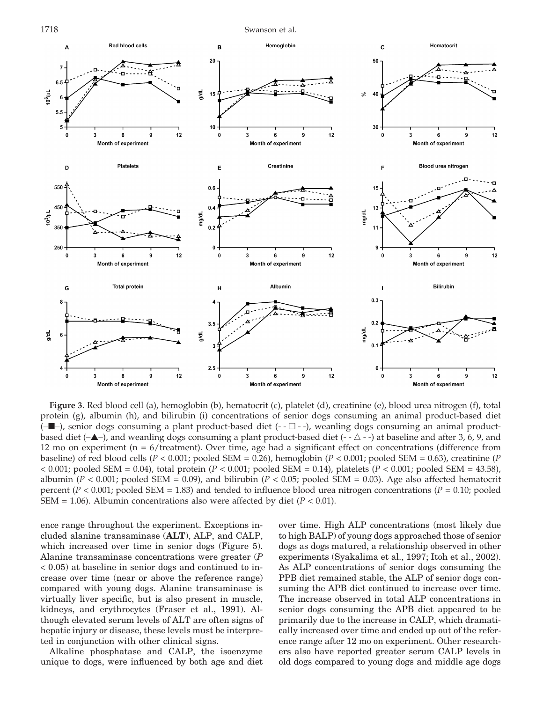

**Figure 3**. Red blood cell (a), hemoglobin (b), hematocrit (c), platelet (d), creatinine (e), blood urea nitrogen (f), total protein (g), albumin (h), and bilirubin (i) concentrations of senior dogs consuming an animal product-based diet  $(-\blacksquare)$ , senior dogs consuming a plant product-based diet  $(-\square - \square)$ , weanling dogs consuming an animal productbased diet  $(-\triangle)$ , and weanling dogs consuming a plant product-based diet  $(-\triangle)$  -  $\triangle$  -  $\triangle$  at baseline and after 3, 6, 9, and 12 mo on experiment (n = 6/treatment). Over time, age had a significant effect on concentrations (difference from baseline) of red blood cells (*P* < 0.001; pooled SEM = 0.26), hemoglobin (*P* < 0.001; pooled SEM = 0.63), creatinine (*P* < 0.001; pooled SEM = 0.04), total protein (*P* < 0.001; pooled SEM = 0.14), platelets (*P* < 0.001; pooled SEM = 43.58), albumin (*P* < 0.001; pooled SEM = 0.09), and bilirubin (*P* < 0.05; pooled SEM = 0.03). Age also affected hematocrit percent ( $P < 0.001$ ; pooled SEM = 1.83) and tended to influence blood urea nitrogen concentrations ( $P = 0.10$ ; pooled SEM = 1.06). Albumin concentrations also were affected by diet  $(P < 0.01)$ .

ence range throughout the experiment. Exceptions included alanine transaminase (**ALT**), ALP, and CALP, which increased over time in senior dogs (Figure 5). Alanine transaminase concentrations were greater (*P* < 0.05) at baseline in senior dogs and continued to increase over time (near or above the reference range) compared with young dogs. Alanine transaminase is virtually liver specific, but is also present in muscle, kidneys, and erythrocytes (Fraser et al., 1991). Although elevated serum levels of ALT are often signs of hepatic injury or disease, these levels must be interpreted in conjunction with other clinical signs.

Alkaline phosphatase and CALP, the isoenzyme unique to dogs, were influenced by both age and diet over time. High ALP concentrations (most likely due to high BALP) of young dogs approached those of senior dogs as dogs matured, a relationship observed in other experiments (Syakalima et al., 1997; Itoh et al., 2002). As ALP concentrations of senior dogs consuming the PPB diet remained stable, the ALP of senior dogs consuming the APB diet continued to increase over time. The increase observed in total ALP concentrations in senior dogs consuming the APB diet appeared to be primarily due to the increase in CALP, which dramatically increased over time and ended up out of the reference range after 12 mo on experiment. Other researchers also have reported greater serum CALP levels in old dogs compared to young dogs and middle age dogs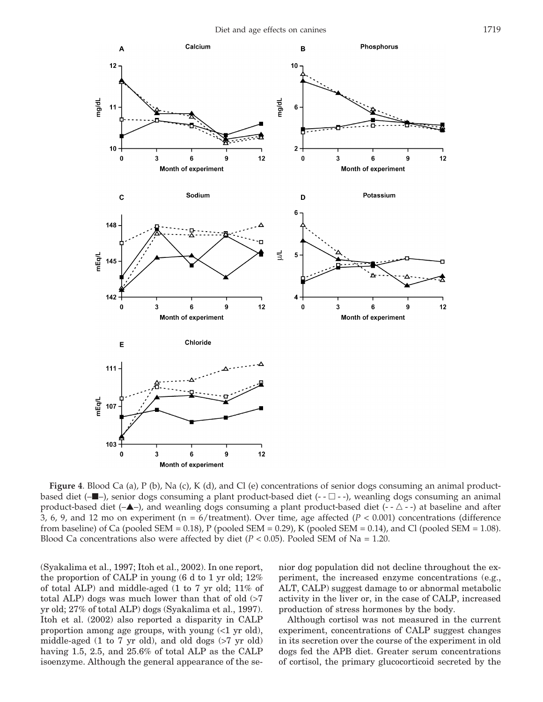

**Figure 4**. Blood Ca (a), P (b), Na (c), K (d), and Cl (e) concentrations of senior dogs consuming an animal productbased diet ( $-\blacksquare$ ), senior dogs consuming a plant product-based diet (-  $-\square$  --), weanling dogs consuming an animal product-based diet  $(-\triangle)$ , and weanling dogs consuming a plant product-based diet  $(-\triangle)$  -) at baseline and after 3, 6, 9, and 12 mo on experiment ( $n = 6$ /treatment). Over time, age affected ( $P < 0.001$ ) concentrations (difference from baseline) of Ca (pooled SEM = 0.18), P (pooled SEM = 0.29), K (pooled SEM = 0.14), and Cl (pooled SEM = 1.08). Blood Ca concentrations also were affected by diet ( $P < 0.05$ ). Pooled SEM of Na = 1.20.

(Syakalima et al., 1997; Itoh et al., 2002). In one report, the proportion of CALP in young (6 d to 1 yr old; 12% of total ALP) and middle-aged (1 to 7 yr old; 11% of total ALP) dogs was much lower than that of old  $>7$ yr old; 27% of total ALP) dogs (Syakalima et al., 1997). Itoh et al. (2002) also reported a disparity in CALP proportion among age groups, with young (<1 yr old), middle-aged (1 to 7 yr old), and old dogs (>7 yr old) having 1.5, 2.5, and 25.6% of total ALP as the CALP isoenzyme. Although the general appearance of the senior dog population did not decline throughout the experiment, the increased enzyme concentrations (e.g., ALT, CALP) suggest damage to or abnormal metabolic activity in the liver or, in the case of CALP, increased production of stress hormones by the body.

Although cortisol was not measured in the current experiment, concentrations of CALP suggest changes in its secretion over the course of the experiment in old dogs fed the APB diet. Greater serum concentrations of cortisol, the primary glucocorticoid secreted by the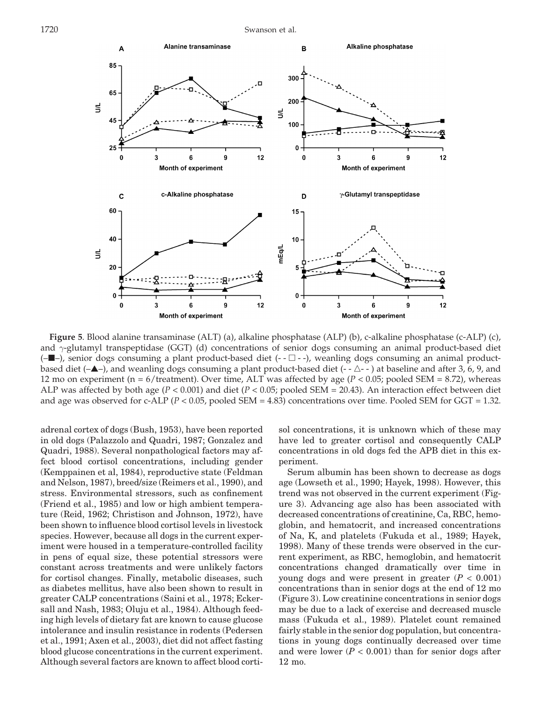

**Figure 5**. Blood alanine transaminase (ALT) (a), alkaline phosphatase (ALP) (b), c-alkaline phosphatase (c-ALP) (c), and γ-glutamyl transpeptidase (GGT) (d) concentrations of senior dogs consuming an animal product-based diet  $(-\blacksquare-)$ , senior dogs consuming a plant product-based diet  $(-\square --)$ , weanling dogs consuming an animal productbased diet  $(-\triangle)$ , and weanling dogs consuming a plant product-based diet  $(-\triangle)$  at baseline and after 3, 6, 9, and 12 mo on experiment (n = 6/treatment). Over time, ALT was affected by age (*P* < 0.05; pooled SEM = 8.72), whereas ALP was affected by both age (*P* < 0.001) and diet (*P* < 0.05; pooled SEM = 20.43). An interaction effect between diet and age was observed for c-ALP ( $P < 0.05$ , pooled SEM = 4.83) concentrations over time. Pooled SEM for GGT = 1.32.

adrenal cortex of dogs (Bush, 1953), have been reported in old dogs (Palazzolo and Quadri, 1987; Gonzalez and Quadri, 1988). Several nonpathological factors may affect blood cortisol concentrations, including gender (Kemppainen et al, 1984), reproductive state (Feldman and Nelson, 1987), breed/size (Reimers et al., 1990), and stress. Environmental stressors, such as confinement (Friend et al., 1985) and low or high ambient temperature (Reid, 1962; Christison and Johnson, 1972), have been shown to influence blood cortisol levels in livestock species. However, because all dogs in the current experiment were housed in a temperature-controlled facility in pens of equal size, these potential stressors were constant across treatments and were unlikely factors for cortisol changes. Finally, metabolic diseases, such as diabetes mellitus, have also been shown to result in greater CALP concentrations (Saini et al., 1978; Eckersall and Nash, 1983; Oluju et al., 1984). Although feeding high levels of dietary fat are known to cause glucose intolerance and insulin resistance in rodents (Pedersen et al., 1991; Axen et al., 2003), diet did not affect fasting blood glucose concentrations in the current experiment. Although several factors are known to affect blood cortisol concentrations, it is unknown which of these may have led to greater cortisol and consequently CALP concentrations in old dogs fed the APB diet in this experiment.

Serum albumin has been shown to decrease as dogs age (Lowseth et al., 1990; Hayek, 1998). However, this trend was not observed in the current experiment (Figure 3). Advancing age also has been associated with decreased concentrations of creatinine, Ca, RBC, hemoglobin, and hematocrit, and increased concentrations of Na, K, and platelets (Fukuda et al., 1989; Hayek, 1998). Many of these trends were observed in the current experiment, as RBC, hemoglobin, and hematocrit concentrations changed dramatically over time in young dogs and were present in greater  $(P < 0.001)$ concentrations than in senior dogs at the end of 12 mo (Figure 3). Low creatinine concentrations in senior dogs may be due to a lack of exercise and decreased muscle mass (Fukuda et al., 1989). Platelet count remained fairly stable in the senior dog population, but concentrations in young dogs continually decreased over time and were lower  $(P < 0.001)$  than for senior dogs after 12 mo.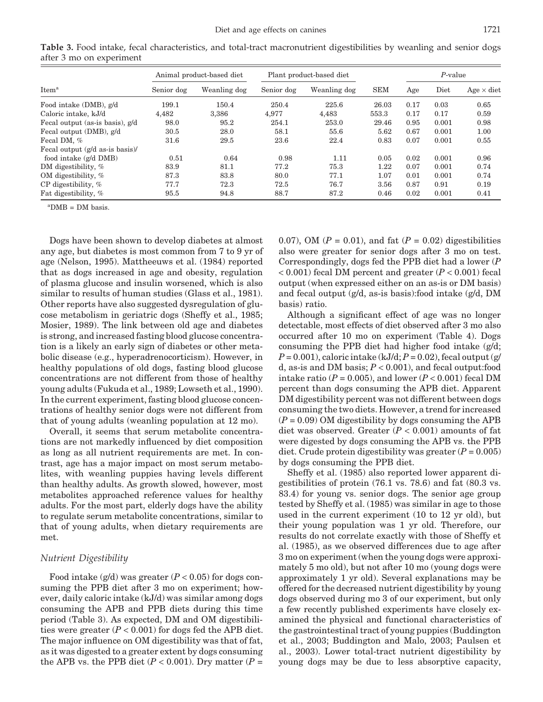| Item <sup>a</sup>                 | Animal product-based diet |              | Plant product-based diet |              |            | $P$ -value |       |                   |
|-----------------------------------|---------------------------|--------------|--------------------------|--------------|------------|------------|-------|-------------------|
|                                   | Senior dog                | Weanling dog | Senior dog               | Weanling dog | <b>SEM</b> | Age        | Diet  | $Age \times diet$ |
| Food intake (DMB), g/d            | 199.1                     | 150.4        | 250.4                    | 225.6        | 26.03      | 0.17       | 0.03  | 0.65              |
| Caloric intake, kJ/d              | 4,482                     | 3,386        | 4,977                    | 4,483        | 553.3      | 0.17       | 0.17  | 0.59              |
| Fecal output (as-is basis), $g/d$ | 98.0                      | 95.2         | 254.1                    | 253.0        | 29.46      | 0.95       | 0.001 | 0.98              |
| Fecal output (DMB), g/d           | 30.5                      | 28.0         | 58.1                     | 55.6         | 5.62       | 0.67       | 0.001 | 1.00              |
| Fecal DM, %                       | 31.6                      | 29.5         | 23.6                     | 22.4         | 0.83       | 0.07       | 0.001 | 0.55              |
| Fecal output (g/d as-is basis)/   |                           |              |                          |              |            |            |       |                   |
| food intake $(g/d \text{ DMB})$   | 0.51                      | 0.64         | 0.98                     | 1.11         | 0.05       | 0.02       | 0.001 | 0.96              |
| DM digestibility, $%$             | 83.9                      | 81.1         | 77.2                     | 75.3         | 1.22       | 0.07       | 0.001 | 0.74              |
| OM digestibility, %               | 87.3                      | 83.8         | 80.0                     | 77.1         | 1.07       | 0.01       | 0.001 | 0.74              |
| CP digestibility, $%$             | 77.7                      | 72.3         | 72.5                     | 76.7         | 3.56       | 0.87       | 0.91  | 0.19              |
| Fat digestibility, %              | 95.5                      | 94.8         | 88.7                     | 87.2         | 0.46       | 0.02       | 0.001 | 0.41              |

**Table 3.** Food intake, fecal characteristics, and total-tract macronutrient digestibilities by weanling and senior dogs after 3 mo on experiment

 $^{\text{a}}$ DMB = DM basis.

Dogs have been shown to develop diabetes at almost any age, but diabetes is most common from 7 to 9 yr of age (Nelson, 1995). Mattheeuws et al. (1984) reported that as dogs increased in age and obesity, regulation of plasma glucose and insulin worsened, which is also similar to results of human studies (Glass et al., 1981). Other reports have also suggested dysregulation of glucose metabolism in geriatric dogs (Sheffy et al., 1985; Mosier, 1989). The link between old age and diabetes is strong, and increased fasting blood glucose concentration is a likely an early sign of diabetes or other metabolic disease (e.g., hyperadrenocorticism). However, in healthy populations of old dogs, fasting blood glucose concentrations are not different from those of healthy young adults (Fukuda et al., 1989; Lowseth et al., 1990). In the current experiment, fasting blood glucose concentrations of healthy senior dogs were not different from that of young adults (weanling population at 12 mo).

Overall, it seems that serum metabolite concentrations are not markedly influenced by diet composition as long as all nutrient requirements are met. In contrast, age has a major impact on most serum metabolites, with weanling puppies having levels different than healthy adults. As growth slowed, however, most metabolites approached reference values for healthy adults. For the most part, elderly dogs have the ability to regulate serum metabolite concentrations, similar to that of young adults, when dietary requirements are met.

## *Nutrient Digestibility*

Food intake  $(g/d)$  was greater  $(P < 0.05)$  for dogs consuming the PPB diet after 3 mo on experiment; however, daily caloric intake (kJ/d) was similar among dogs consuming the APB and PPB diets during this time period (Table 3). As expected, DM and OM digestibilities were greater  $(P < 0.001)$  for dogs fed the APB diet. The major influence on OM digestibility was that of fat, as it was digested to a greater extent by dogs consuming the APB vs. the PPB diet  $(P < 0.001)$ . Dry matter  $(P =$ 

0.07), OM ( $P = 0.01$ ), and fat ( $P = 0.02$ ) digestibilities also were greater for senior dogs after 3 mo on test. Correspondingly, dogs fed the PPB diet had a lower (*P* < 0.001) fecal DM percent and greater (*P* < 0.001) fecal output (when expressed either on an as-is or DM basis) and fecal output (g/d, as-is basis):food intake (g/d, DM basis) ratio.

Although a significant effect of age was no longer detectable, most effects of diet observed after 3 mo also occurred after 10 mo on experiment (Table 4). Dogs consuming the PPB diet had higher food intake (g/d; *P* = 0.001), caloric intake (kJ/d; *P* = 0.02), fecal output(g/ d, as-is and DM basis; *P* < 0.001), and fecal output:food intake ratio  $(P = 0.005)$ , and lower  $(P < 0.001)$  fecal DM percent than dogs consuming the APB diet. Apparent DM digestibility percent was not different between dogs consuming the two diets. However, a trend for increased  $(P = 0.09)$  OM digestibility by dogs consuming the APB diet was observed. Greater (*P* < 0.001) amounts of fat were digested by dogs consuming the APB vs. the PPB diet. Crude protein digestibility was greater  $(P = 0.005)$ by dogs consuming the PPB diet.

Sheffy et al. (1985) also reported lower apparent digestibilities of protein (76.1 vs. 78.6) and fat (80.3 vs. 83.4) for young vs. senior dogs. The senior age group tested by Sheffy et al. (1985) was similar in age to those used in the current experiment (10 to 12 yr old), but their young population was 1 yr old. Therefore, our results do not correlate exactly with those of Sheffy et al. (1985), as we observed differences due to age after 3 mo on experiment(when the young dogs were approximately 5 mo old), but not after 10 mo (young dogs were approximately 1 yr old). Several explanations may be offered for the decreased nutrient digestibility by young dogs observed during mo 3 of our experiment, but only a few recently published experiments have closely examined the physical and functional characteristics of the gastrointestinal tract of young puppies (Buddington et al., 2003; Buddington and Malo, 2003; Paulsen et al., 2003). Lower total-tract nutrient digestibility by young dogs may be due to less absorptive capacity,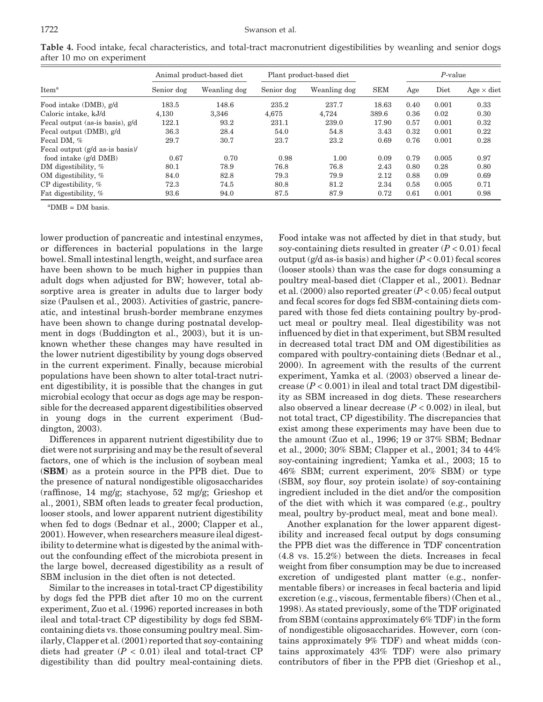| Item <sup>a</sup>                        | Animal product-based diet |              | Plant product-based diet |              |            | P-value |       |                   |
|------------------------------------------|---------------------------|--------------|--------------------------|--------------|------------|---------|-------|-------------------|
|                                          | Senior dog                | Weanling dog | Senior dog               | Weanling dog | <b>SEM</b> | Age     | Diet  | $Age \times diet$ |
| Food intake (DMB), g/d                   | 183.5                     | 148.6        | 235.2                    | 237.7        | 18.63      | 0.40    | 0.001 | 0.33              |
| Caloric intake, kJ/d                     | 4.130                     | 3.346        | 4.675                    | 4.724        | 389.6      | 0.36    | 0.02  | 0.30              |
| Fecal output (as-is basis), $g/d$        | 122.1                     | 93.2         | 231.1                    | 239.0        | 17.90      | 0.57    | 0.001 | 0.32              |
| Fecal output (DMB), g/d                  | 36.3                      | 28.4         | 54.0                     | 54.8         | 3.43       | 0.32    | 0.001 | 0.22              |
| Fecal DM, %                              | 29.7                      | 30.7         | 23.7                     | 23.2         | 0.69       | 0.76    | 0.001 | 0.28              |
| Fecal output $(g/d \text{ as-is basis})$ |                           |              |                          |              |            |         |       |                   |
| food intake $(g/d \text{ DMB})$          | 0.67                      | 0.70         | 0.98                     | 1.00         | 0.09       | 0.79    | 0.005 | 0.97              |
| DM digestibility, $%$                    | 80.1                      | 78.9         | 76.8                     | 76.8         | 2.43       | 0.80    | 0.28  | 0.80              |
| OM digestibility, %                      | 84.0                      | 82.8         | 79.3                     | 79.9         | 2.12       | 0.88    | 0.09  | 0.69              |
| CP digestibility, $%$                    | 72.3                      | 74.5         | 80.8                     | 81.2         | 2.34       | 0.58    | 0.005 | 0.71              |
| Fat digestibility, %                     | 93.6                      | 94.0         | 87.5                     | 87.9         | 0.72       | 0.61    | 0.001 | 0.98              |

**Table 4.** Food intake, fecal characteristics, and total-tract macronutrient digestibilities by weanling and senior dogs after 10 mo on experiment

 $^{\text{a}}$ DMB = DM basis.

lower production of pancreatic and intestinal enzymes, or differences in bacterial populations in the large bowel. Small intestinal length, weight, and surface area have been shown to be much higher in puppies than adult dogs when adjusted for BW; however, total absorptive area is greater in adults due to larger body size (Paulsen et al., 2003). Activities of gastric, pancreatic, and intestinal brush-border membrane enzymes have been shown to change during postnatal development in dogs (Buddington et al., 2003), but it is unknown whether these changes may have resulted in the lower nutrient digestibility by young dogs observed in the current experiment. Finally, because microbial populations have been shown to alter total-tract nutrient digestibility, it is possible that the changes in gut microbial ecology that occur as dogs age may be responsible for the decreased apparent digestibilities observed in young dogs in the current experiment (Buddington, 2003).

Differences in apparent nutrient digestibility due to diet were not surprising and may be the result of several factors, one of which is the inclusion of soybean meal (**SBM**) as a protein source in the PPB diet. Due to the presence of natural nondigestible oligosaccharides (raffinose, 14 mg/g; stachyose, 52 mg/g; Grieshop et al., 2001), SBM often leads to greater fecal production, looser stools, and lower apparent nutrient digestibility when fed to dogs (Bednar et al., 2000; Clapper et al., 2001). However, when researchers measure ileal digestibility to determine what is digested by the animal without the confounding effect of the microbiota present in the large bowel, decreased digestibility as a result of SBM inclusion in the diet often is not detected.

Similar to the increases in total-tract CP digestibility by dogs fed the PPB diet after 10 mo on the current experiment, Zuo et al. (1996) reported increases in both ileal and total-tract CP digestibility by dogs fed SBMcontaining diets vs. those consuming poultry meal. Similarly, Clapper et al. (2001) reported that soy-containing diets had greater  $(P < 0.01)$  ileal and total-tract CP digestibility than did poultry meal-containing diets.

Food intake was not affected by diet in that study, but soy-containing diets resulted in greater  $(P < 0.01)$  fecal output ( $g/d$  as-is basis) and higher ( $P < 0.01$ ) fecal scores (looser stools) than was the case for dogs consuming a poultry meal-based diet (Clapper et al., 2001). Bednar et al. (2000) also reported greater (*P* < 0.05) fecal output and fecal scores for dogs fed SBM-containing diets compared with those fed diets containing poultry by-product meal or poultry meal. Ileal digestibility was not influenced by dietin that experiment, but SBM resulted in decreased total tract DM and OM digestibilities as compared with poultry-containing diets (Bednar et al., 2000). In agreement with the results of the current experiment, Yamka et al. (2003) observed a linear decrease  $(P < 0.001)$  in ileal and total tract DM digestibility as SBM increased in dog diets. These researchers also observed a linear decrease (*P* < 0.002) in ileal, but not total tract, CP digestibility. The discrepancies that exist among these experiments may have been due to the amount (Zuo et al., 1996; 19 or 37% SBM; Bednar et al., 2000; 30% SBM; Clapper et al., 2001; 34 to 44% soy-containing ingredient; Yamka et al., 2003; 15 to 46% SBM; current experiment, 20% SBM) or type (SBM, soy flour, soy protein isolate) of soy-containing ingredient included in the diet and/or the composition of the diet with which it was compared (e.g., poultry meal, poultry by-product meal, meat and bone meal).

Another explanation for the lower apparent digestibility and increased fecal output by dogs consuming the PPB diet was the difference in TDF concentration (4.8 vs. 15.2%) between the diets. Increases in fecal weight from fiber consumption may be due to increased excretion of undigested plant matter (e.g., nonfermentable fibers) or increases in fecal bacteria and lipid excretion (e.g., viscous, fermentable fibers) (Chen et al., 1998). As stated previously, some of the TDF originated from SBM (contains approximately 6% TDF) in the form of nondigestible oligosaccharides. However, corn (contains approximately 9% TDF) and wheat midds (contains approximately 43% TDF) were also primary contributors of fiber in the PPB diet (Grieshop et al.,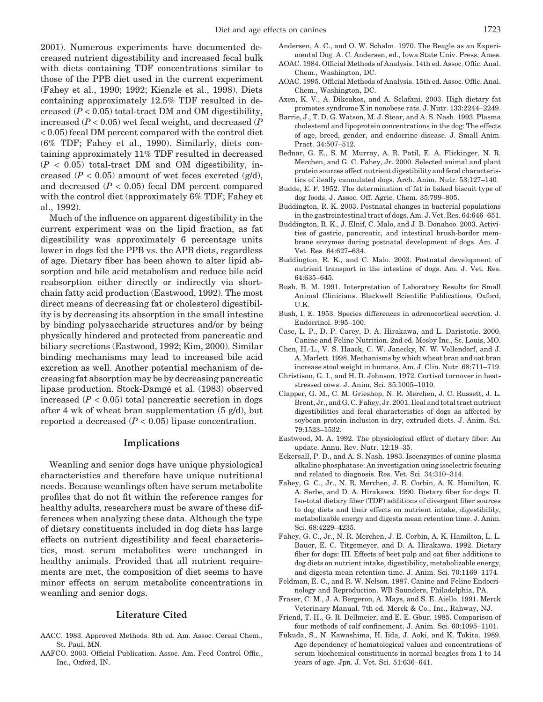2001). Numerous experiments have documented decreased nutrient digestibility and increased fecal bulk with diets containing TDF concentrations similar to those of the PPB diet used in the current experiment (Fahey et al., 1990; 1992; Kienzle et al., 1998). Diets containing approximately 12.5% TDF resulted in decreased  $(P < 0.05)$  total-tract DM and OM digestibility, increased (*P* < 0.05) wet fecal weight, and decreased (*P* < 0.05) fecal DM percent compared with the control diet (6% TDF; Fahey et al., 1990). Similarly, diets containing approximately 11% TDF resulted in decreased  $(P < 0.05)$  total-tract DM and OM digestibility, increased  $(P < 0.05)$  amount of wet feces excreted  $(g/d)$ , and decreased  $(P < 0.05)$  fecal DM percent compared with the control diet (approximately 6% TDF; Fahey et al., 1992).

Much of the influence on apparent digestibility in the current experiment was on the lipid fraction, as fat digestibility was approximately 6 percentage units lower in dogs fed the PPB vs. the APB diets, regardless of age. Dietary fiber has been shown to alter lipid absorption and bile acid metabolism and reduce bile acid reabsorption either directly or indirectly via shortchain fatty acid production (Eastwood, 1992). The most direct means of decreasing fat or cholesterol digestibility is by decreasing its absorption in the small intestine by binding polysaccharide structures and/or by being physically hindered and protected from pancreatic and biliary secretions (Eastwood, 1992; Kim, 2000). Similar binding mechanisms may lead to increased bile acid excretion as well. Another potential mechanism of decreasing fat absorption may be by decreasing pancreatic lipase production. Stock-Damgé et al. (1983) observed increased  $(P < 0.05)$  total pancreatic secretion in dogs after 4 wk of wheat bran supplementation (5 g/d), but reported a decreased  $(P < 0.05)$  lipase concentration.

# **Implications**

Weanling and senior dogs have unique physiological characteristics and therefore have unique nutritional needs. Because weanlings often have serum metabolite profiles that do not fit within the reference ranges for healthy adults, researchers must be aware of these differences when analyzing these data. Although the type of dietary constituents included in dog diets has large effects on nutrient digestibility and fecal characteristics, most serum metabolites were unchanged in healthy animals. Provided that all nutrient requirements are met, the composition of diet seems to have minor effects on serum metabolite concentrations in weanling and senior dogs.

#### **Literature Cited**

- AACC. 1983. Approved Methods. 8th ed. Am. Assoc. Cereal Chem., St. Paul, MN.
- AAFCO. 2003. Official Publication. Assoc. Am. Feed Control Offic., Inc., Oxford, IN.
- Andersen, A. C., and O. W. Schalm. 1970. The Beagle as an Experimental Dog. A. C. Andersen, ed., Iowa State Univ. Press, Ames.
- AOAC. 1984. Official Methods of Analysis. 14th ed. Assoc. Offic. Anal. Chem., Washington, DC.
- AOAC. 1995. Official Methods of Analysis. 15th ed. Assoc. Offic. Anal. Chem., Washington, DC.
- Axen, K. V., A. Dikeakos, and A. Sclafani. 2003. High dietary fat promotes syndrome X in nonobese rats. J. Nutr. 133:2244–2249.
- Barrie, J., T. D. G. Watson, M. J. Stear, and A. S. Nash. 1993. Plasma cholesterol and lipoprotein concentrations in the dog: The effects of age, breed, gender, and endocrine disease. J. Small Anim. Pract. 34:507–512.
- Bednar, G. E., S. M. Murray, A. R. Patil, E. A. Flickinger, N. R. Merchen, and G. C. Fahey, Jr. 2000. Selected animal and plant protein sources affect nutrient digestibility and fecal characteristics of ileally cannulated dogs. Arch. Anim. Nutr. 53:127–140.
- Budde, E. F. 1952. The determination of fat in baked biscuit type of dog foods. J. Assoc. Off. Agric. Chem. 35:799–805.
- Buddington, R. K. 2003. Postnatal changes in bacterial populations in the gastrointestinal tract of dogs. Am. J. Vet. Res. 64:646–651.
- Buddington, R. K., J. Elnif, C. Malo, and J. B. Donahoo. 2003. Activities of gastric, pancreatic, and intestinal brush-border membrane enzymes during postnatal development of dogs. Am. J. Vet. Res. 64:627–634.
- Buddington, R. K., and C. Malo. 2003. Postnatal development of nutrient transport in the intestine of dogs. Am. J. Vet. Res. 64:635–645.
- Bush, B. M. 1991. Interpretation of Laboratory Results for Small Animal Clinicians. Blackwell Scientific Publications, Oxford, U.K.
- Bush, I. E. 1953. Species differences in adrenocortical secretion. J. Endocrinol. 9:95–100.
- Case, L. P., D. P. Carey, D. A. Hirakawa, and L. Daristotle. 2000. Canine and Feline Nutrition. 2nd ed. Mosby Inc., St. Louis, MO.
- Chen, H.-L., V. S. Haack, C. W. Janecky, N. W. Vollendorf, and J. A. Marlett. 1998. Mechanisms by which wheat bran and oat bran increase stool weight in humans. Am. J. Clin. Nutr. 68:711–719.
- Christison, G. I., and H. D. Johnson. 1972. Cortisol turnover in heatstressed cows. J. Anim. Sci. 35:1005–1010.
- Clapper, G. M., C. M. Grieshop, N. R. Merchen, J. C. Russett, J. L. Brent, Jr., and G. C. Fahey, Jr. 2001. Ileal and total tract nutrient digestibilities and fecal characteristics of dogs as affected by soybean protein inclusion in dry, extruded diets. J. Anim. Sci. 79:1523–1532.
- Eastwood, M. A. 1992. The physiological effect of dietary fiber: An update. Annu. Rev. Nutr. 12:19–35.
- Eckersall, P. D., and A. S. Nash. 1983. Isoenzymes of canine plasma alkaline phosphatase: An investigation using isoelectric focusing and related to diagnosis. Res. Vet. Sci. 34:310–314.
- Fahey, G. C., Jr., N. R. Merchen, J. E. Corbin, A. K. Hamilton, K. A. Serbe, and D. A. Hirakawa. 1990. Dietary fiber for dogs: II. Iso-total dietary fiber (TDF) additions of divergent fiber sources to dog diets and their effects on nutrient intake, digestibility, metabolizable energy and digesta mean retention time. J. Anim. Sci. 68:4229–4235.
- Fahey, G. C., Jr., N. R. Merchen, J. E. Corbin, A. K. Hamilton, L. L. Bauer, E. C. Titgemeyer, and D. A. Hirakawa. 1992. Dietary fiber for dogs: III. Effects of beet pulp and oat fiber additions to dog diets on nutrient intake, digestibility, metabolizable energy, and digesta mean retention time. J. Anim. Sci. 70:1169–1174.
- Feldman, E. C., and R. W. Nelson. 1987. Canine and Feline Endocrinology and Reproduction. WB Saunders, Philadelphia, PA.
- Fraser, C. M., J. A. Bergeron, A. Mays, and S. E. Aiello. 1991. Merck Veterinary Manual. 7th ed. Merck & Co., Inc., Rahway, NJ.
- Friend, T. H., G. R. Dellmeier, and E. E. Gbur. 1985. Comparison of four methods of calf confinement. J. Anim. Sci. 60:1095–1101.
- Fukuda, S., N. Kawashima, H. Iida, J. Aoki, and K. Tokita. 1989. Age dependency of hematological values and concentrations of serum biochemical constituents in normal beagles from 1 to 14 years of age. Jpn. J. Vet. Sci. 51:636–641.